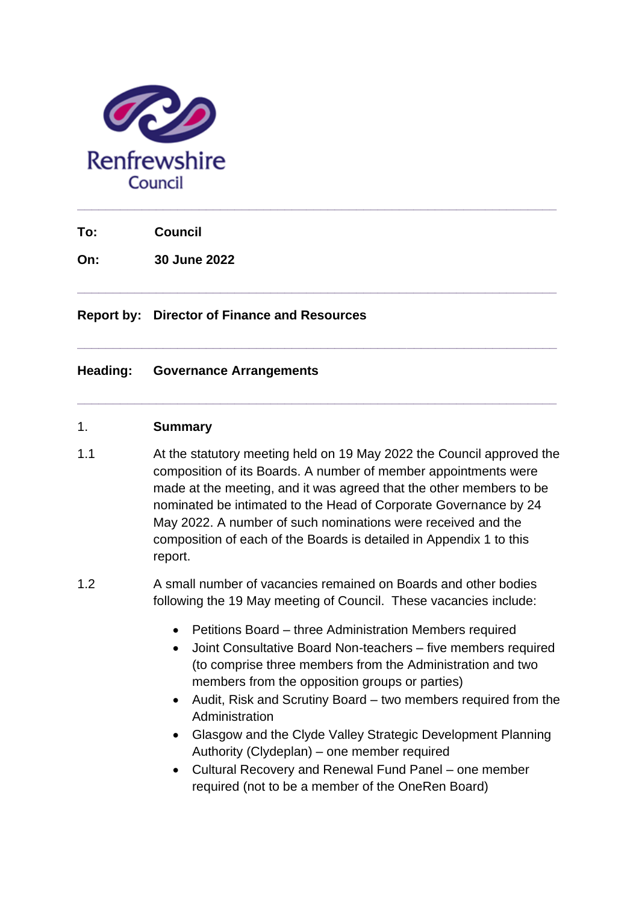

**To: Council**

**On: 30 June 2022**

**Report by: Director of Finance and Resources**

#### **Heading: Governance Arrangements**

#### 1. **Summary**

1.1 At the statutory meeting held on 19 May 2022 the Council approved the composition of its Boards. A number of member appointments were made at the meeting, and it was agreed that the other members to be nominated be intimated to the Head of Corporate Governance by 24 May 2022. A number of such nominations were received and the composition of each of the Boards is detailed in Appendix 1 to this report.

**\_\_\_\_\_\_\_\_\_\_\_\_\_\_\_\_\_\_\_\_\_\_\_\_\_\_\_\_\_\_\_\_\_\_\_\_\_\_\_\_\_\_\_\_\_\_\_\_\_\_\_\_\_\_\_\_\_\_\_\_\_\_\_\_\_\_\_**

**\_\_\_\_\_\_\_\_\_\_\_\_\_\_\_\_\_\_\_\_\_\_\_\_\_\_\_\_\_\_\_\_\_\_\_\_\_\_\_\_\_\_\_\_\_\_\_\_\_\_\_\_\_\_\_\_\_\_\_\_\_\_\_\_\_\_\_**

**\_\_\_\_\_\_\_\_\_\_\_\_\_\_\_\_\_\_\_\_\_\_\_\_\_\_\_\_\_\_\_\_\_\_\_\_\_\_\_\_\_\_\_\_\_\_\_\_\_\_\_\_\_\_\_\_\_\_\_\_\_\_\_\_\_\_\_**

- 1.2 A small number of vacancies remained on Boards and other bodies following the 19 May meeting of Council. These vacancies include:
	- Petitions Board three Administration Members required
	- Joint Consultative Board Non-teachers five members required (to comprise three members from the Administration and two members from the opposition groups or parties)
	- Audit, Risk and Scrutiny Board two members required from the Administration
	- Glasgow and the Clyde Valley Strategic Development Planning Authority (Clydeplan) – one member required
	- Cultural Recovery and Renewal Fund Panel one member required (not to be a member of the OneRen Board)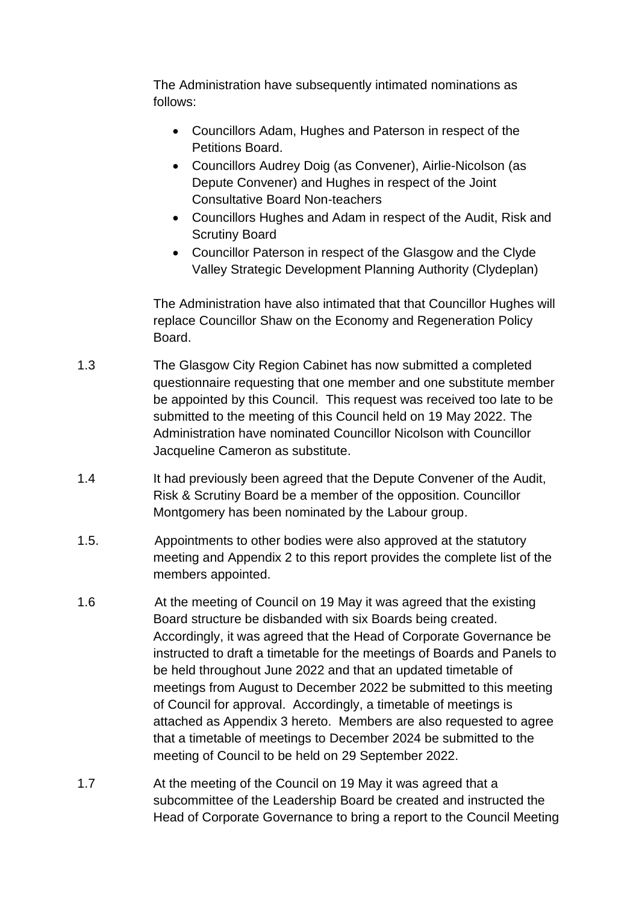The Administration have subsequently intimated nominations as follows:

- Councillors Adam, Hughes and Paterson in respect of the Petitions Board.
- Councillors Audrey Doig (as Convener), Airlie-Nicolson (as Depute Convener) and Hughes in respect of the Joint Consultative Board Non-teachers
- Councillors Hughes and Adam in respect of the Audit, Risk and Scrutiny Board
- Councillor Paterson in respect of the Glasgow and the Clyde Valley Strategic Development Planning Authority (Clydeplan)

The Administration have also intimated that that Councillor Hughes will replace Councillor Shaw on the Economy and Regeneration Policy Board.

- 1.3 The Glasgow City Region Cabinet has now submitted a completed questionnaire requesting that one member and one substitute member be appointed by this Council. This request was received too late to be submitted to the meeting of this Council held on 19 May 2022. The Administration have nominated Councillor Nicolson with Councillor Jacqueline Cameron as substitute.
- 1.4 It had previously been agreed that the Depute Convener of the Audit, Risk & Scrutiny Board be a member of the opposition. Councillor Montgomery has been nominated by the Labour group.
- 1.5. Appointments to other bodies were also approved at the statutory meeting and Appendix 2 to this report provides the complete list of the members appointed.
- 1.6 At the meeting of Council on 19 May it was agreed that the existing Board structure be disbanded with six Boards being created. Accordingly, it was agreed that the Head of Corporate Governance be instructed to draft a timetable for the meetings of Boards and Panels to be held throughout June 2022 and that an updated timetable of meetings from August to December 2022 be submitted to this meeting of Council for approval. Accordingly, a timetable of meetings is attached as Appendix 3 hereto. Members are also requested to agree that a timetable of meetings to December 2024 be submitted to the meeting of Council to be held on 29 September 2022.
- 1.7 At the meeting of the Council on 19 May it was agreed that a subcommittee of the Leadership Board be created and instructed the Head of Corporate Governance to bring a report to the Council Meeting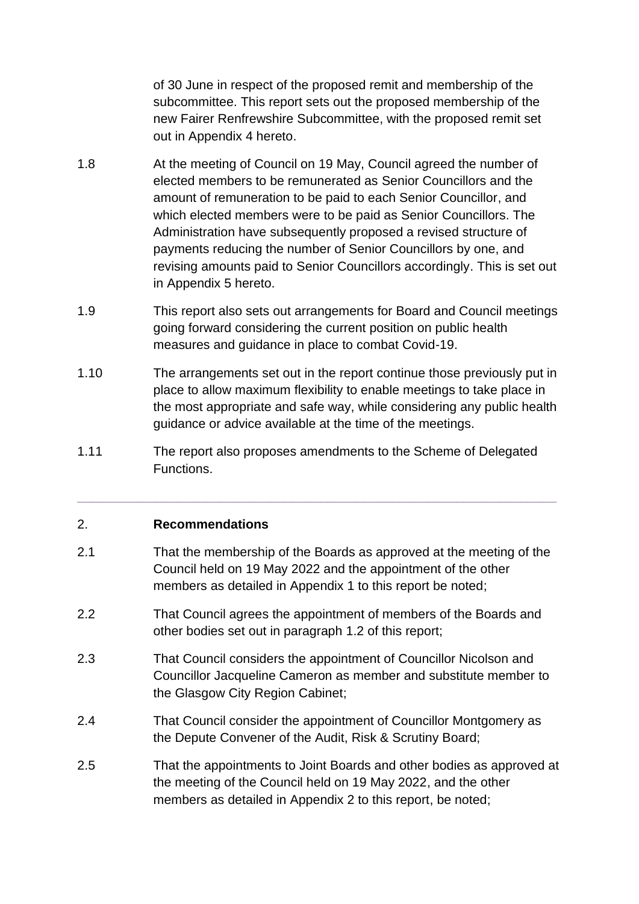of 30 June in respect of the proposed remit and membership of the subcommittee. This report sets out the proposed membership of the new Fairer Renfrewshire Subcommittee, with the proposed remit set out in Appendix 4 hereto.

- 1.8 At the meeting of Council on 19 May, Council agreed the number of elected members to be remunerated as Senior Councillors and the amount of remuneration to be paid to each Senior Councillor, and which elected members were to be paid as Senior Councillors. The Administration have subsequently proposed a revised structure of payments reducing the number of Senior Councillors by one, and revising amounts paid to Senior Councillors accordingly. This is set out in Appendix 5 hereto.
- 1.9 This report also sets out arrangements for Board and Council meetings going forward considering the current position on public health measures and guidance in place to combat Covid-19.
- 1.10 The arrangements set out in the report continue those previously put in place to allow maximum flexibility to enable meetings to take place in the most appropriate and safe way, while considering any public health guidance or advice available at the time of the meetings.
- 1.11 The report also proposes amendments to the Scheme of Delegated Functions.

**\_\_\_\_\_\_\_\_\_\_\_\_\_\_\_\_\_\_\_\_\_\_\_\_\_\_\_\_\_\_\_\_\_\_\_\_\_\_\_\_\_\_\_\_\_\_\_\_\_\_\_\_\_\_\_\_\_\_\_\_\_\_\_\_\_\_\_**

#### 2. **Recommendations**

- 2.1 That the membership of the Boards as approved at the meeting of the Council held on 19 May 2022 and the appointment of the other members as detailed in Appendix 1 to this report be noted;
- 2.2 That Council agrees the appointment of members of the Boards and other bodies set out in paragraph 1.2 of this report;
- 2.3 That Council considers the appointment of Councillor Nicolson and Councillor Jacqueline Cameron as member and substitute member to the Glasgow City Region Cabinet;
- 2.4 That Council consider the appointment of Councillor Montgomery as the Depute Convener of the Audit, Risk & Scrutiny Board;
- 2.5 That the appointments to Joint Boards and other bodies as approved at the meeting of the Council held on 19 May 2022, and the other members as detailed in Appendix 2 to this report, be noted;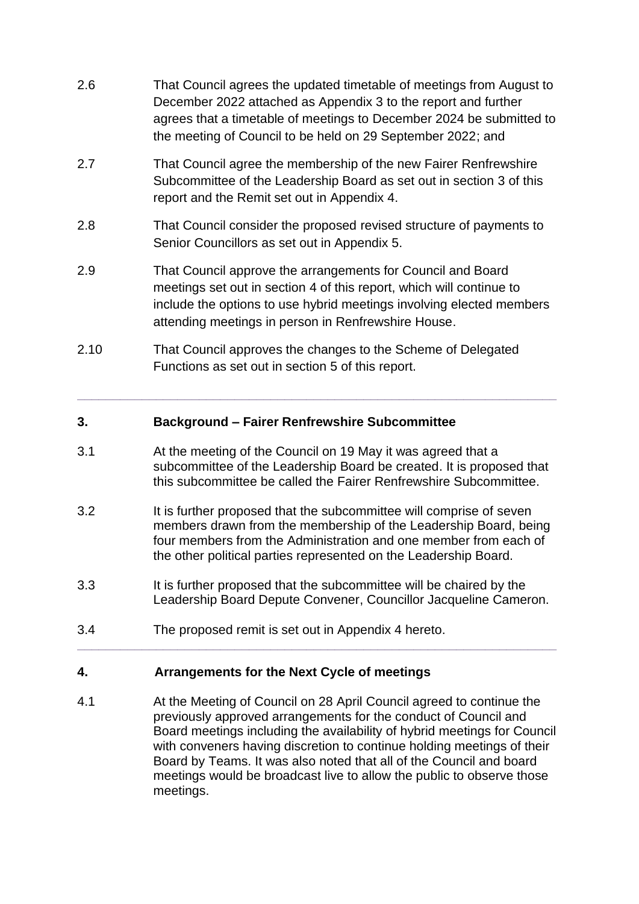- 2.6 That Council agrees the updated timetable of meetings from August to December 2022 attached as Appendix 3 to the report and further agrees that a timetable of meetings to December 2024 be submitted to the meeting of Council to be held on 29 September 2022; and
- 2.7 That Council agree the membership of the new Fairer Renfrewshire Subcommittee of the Leadership Board as set out in section 3 of this report and the Remit set out in Appendix 4.
- 2.8 That Council consider the proposed revised structure of payments to Senior Councillors as set out in Appendix 5.
- 2.9 That Council approve the arrangements for Council and Board meetings set out in section 4 of this report, which will continue to include the options to use hybrid meetings involving elected members attending meetings in person in Renfrewshire House.
- 2.10 That Council approves the changes to the Scheme of Delegated Functions as set out in section 5 of this report.

### **3. Background – Fairer Renfrewshire Subcommittee**

3.1 At the meeting of the Council on 19 May it was agreed that a subcommittee of the Leadership Board be created. It is proposed that this subcommittee be called the Fairer Renfrewshire Subcommittee.

**\_\_\_\_\_\_\_\_\_\_\_\_\_\_\_\_\_\_\_\_\_\_\_\_\_\_\_\_\_\_\_\_\_\_\_\_\_\_\_\_\_\_\_\_\_\_\_\_\_\_\_\_\_\_\_\_\_\_\_\_\_\_\_\_\_\_\_**

- 3.2 It is further proposed that the subcommittee will comprise of seven members drawn from the membership of the Leadership Board, being four members from the Administration and one member from each of the other political parties represented on the Leadership Board.
- 3.3 It is further proposed that the subcommittee will be chaired by the Leadership Board Depute Convener, Councillor Jacqueline Cameron.

**\_\_\_\_\_\_\_\_\_\_\_\_\_\_\_\_\_\_\_\_\_\_\_\_\_\_\_\_\_\_\_\_\_\_\_\_\_\_\_\_\_\_\_\_\_\_\_\_\_\_\_\_\_\_\_\_\_\_\_\_\_\_\_\_\_\_\_**

3.4 The proposed remit is set out in Appendix 4 hereto.

## **4. Arrangements for the Next Cycle of meetings**

4.1 At the Meeting of Council on 28 April Council agreed to continue the previously approved arrangements for the conduct of Council and Board meetings including the availability of hybrid meetings for Council with conveners having discretion to continue holding meetings of their Board by Teams. It was also noted that all of the Council and board meetings would be broadcast live to allow the public to observe those meetings.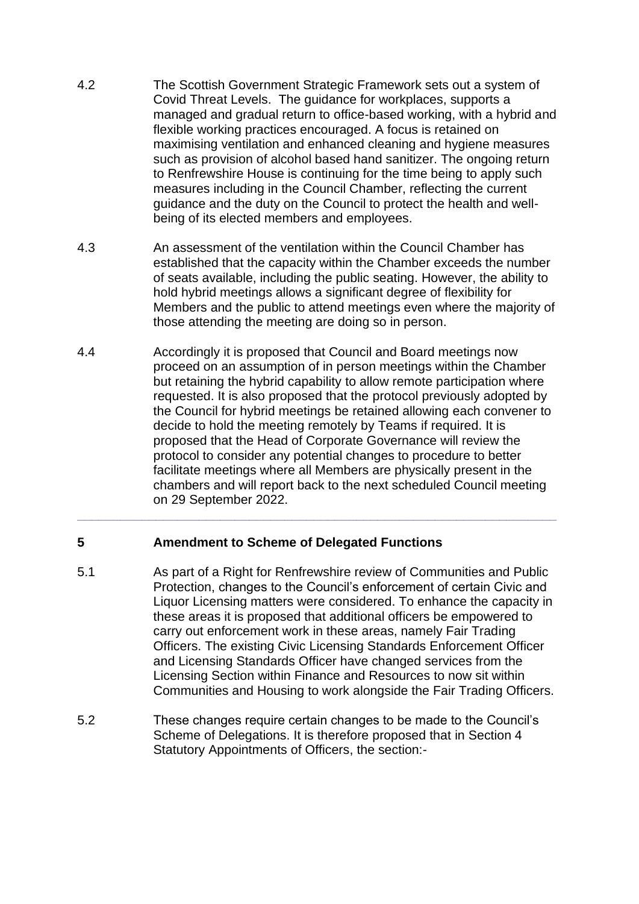- 4.2 The Scottish Government Strategic Framework sets out a system of Covid Threat Levels. The guidance for workplaces, supports a managed and gradual return to office-based working, with a hybrid and flexible working practices encouraged. A focus is retained on maximising ventilation and enhanced cleaning and hygiene measures such as provision of alcohol based hand sanitizer. The ongoing return to Renfrewshire House is continuing for the time being to apply such measures including in the Council Chamber, reflecting the current guidance and the duty on the Council to protect the health and wellbeing of its elected members and employees.
- 4.3 An assessment of the ventilation within the Council Chamber has established that the capacity within the Chamber exceeds the number of seats available, including the public seating. However, the ability to hold hybrid meetings allows a significant degree of flexibility for Members and the public to attend meetings even where the majority of those attending the meeting are doing so in person.
- 4.4 Accordingly it is proposed that Council and Board meetings now proceed on an assumption of in person meetings within the Chamber but retaining the hybrid capability to allow remote participation where requested. It is also proposed that the protocol previously adopted by the Council for hybrid meetings be retained allowing each convener to decide to hold the meeting remotely by Teams if required. It is proposed that the Head of Corporate Governance will review the protocol to consider any potential changes to procedure to better facilitate meetings where all Members are physically present in the chambers and will report back to the next scheduled Council meeting on 29 September 2022.

**\_\_\_\_\_\_\_\_\_\_\_\_\_\_\_\_\_\_\_\_\_\_\_\_\_\_\_\_\_\_\_\_\_\_\_\_\_\_\_\_\_\_\_\_\_\_\_\_\_\_\_\_\_\_\_\_\_\_\_\_\_\_\_\_\_\_\_**

#### **5 Amendment to Scheme of Delegated Functions**

- 5.1 As part of a Right for Renfrewshire review of Communities and Public Protection, changes to the Council's enforcement of certain Civic and Liquor Licensing matters were considered. To enhance the capacity in these areas it is proposed that additional officers be empowered to carry out enforcement work in these areas, namely Fair Trading Officers. The existing Civic Licensing Standards Enforcement Officer and Licensing Standards Officer have changed services from the Licensing Section within Finance and Resources to now sit within Communities and Housing to work alongside the Fair Trading Officers.
- 5.2 These changes require certain changes to be made to the Council's Scheme of Delegations. It is therefore proposed that in Section 4 Statutory Appointments of Officers, the section:-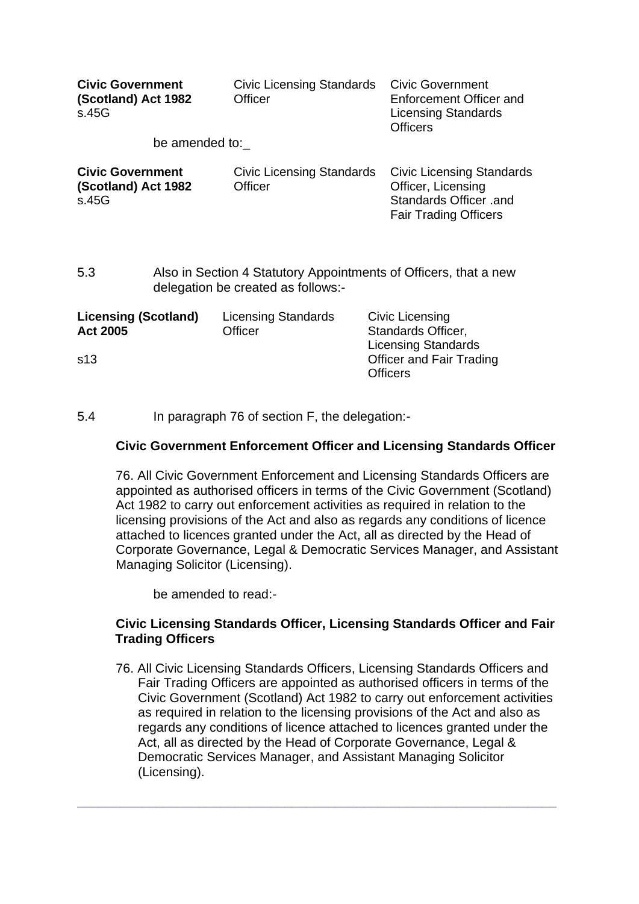| <b>Civic Government</b><br>(Scotland) Act 1982<br>s.45G | <b>Civic Licensing Standards</b><br>Officer        | <b>Civic Government</b><br>Enforcement Officer and<br><b>Licensing Standards</b><br><b>Officers</b>              |
|---------------------------------------------------------|----------------------------------------------------|------------------------------------------------------------------------------------------------------------------|
| be amended to:                                          |                                                    |                                                                                                                  |
| <b>Civic Government</b><br>(Scotland) Act 1982<br>s.45G | <b>Civic Licensing Standards</b><br><b>Officer</b> | <b>Civic Licensing Standards</b><br>Officer, Licensing<br>Standards Officer .and<br><b>Fair Trading Officers</b> |

5.3 Also in Section 4 Statutory Appointments of Officers, that a new delegation be created as follows:-

| <b>Licensing (Scotland)</b> | <b>Licensing Standards</b> | Civic Licensing                 |
|-----------------------------|----------------------------|---------------------------------|
| <b>Act 2005</b>             | Officer                    | Standards Officer,              |
|                             |                            | <b>Licensing Standards</b>      |
| s <sub>13</sub>             |                            | <b>Officer and Fair Trading</b> |
|                             |                            | <b>Officers</b>                 |
|                             |                            |                                 |

5.4 In paragraph 76 of section F, the delegation:-

#### **Civic Government Enforcement Officer and Licensing Standards Officer**

76. All Civic Government Enforcement and Licensing Standards Officers are appointed as authorised officers in terms of the Civic Government (Scotland) Act 1982 to carry out enforcement activities as required in relation to the licensing provisions of the Act and also as regards any conditions of licence attached to licences granted under the Act, all as directed by the Head of Corporate Governance, Legal & Democratic Services Manager, and Assistant Managing Solicitor (Licensing).

be amended to read:-

#### **Civic Licensing Standards Officer, Licensing Standards Officer and Fair Trading Officers**

76. All Civic Licensing Standards Officers, Licensing Standards Officers and Fair Trading Officers are appointed as authorised officers in terms of the Civic Government (Scotland) Act 1982 to carry out enforcement activities as required in relation to the licensing provisions of the Act and also as regards any conditions of licence attached to licences granted under the Act, all as directed by the Head of Corporate Governance, Legal & Democratic Services Manager, and Assistant Managing Solicitor (Licensing).

**\_\_\_\_\_\_\_\_\_\_\_\_\_\_\_\_\_\_\_\_\_\_\_\_\_\_\_\_\_\_\_\_\_\_\_\_\_\_\_\_\_\_\_\_\_\_\_\_\_\_\_\_\_\_\_\_\_\_\_\_\_\_\_\_\_\_\_**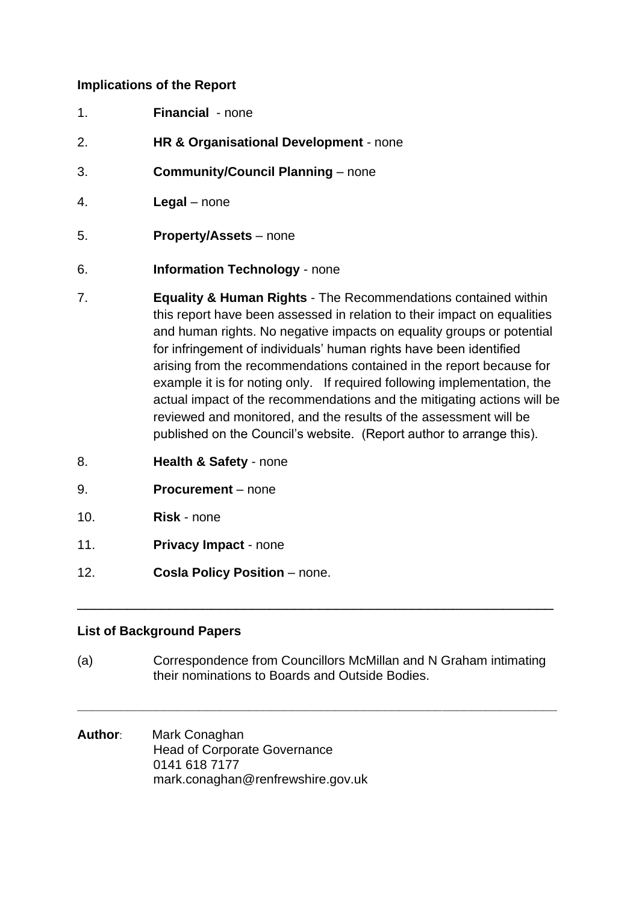### **Implications of the Report**

- 1. **Financial** none
- 2. **HR & Organisational Development** none
- 3. **Community/Council Planning**  none
- 4. **Legal** none
- 5. **Property/Assets** none
- 6. **Information Technology** none
- 7. **Equality & Human Rights** The Recommendations contained within this report have been assessed in relation to their impact on equalities and human rights. No negative impacts on equality groups or potential for infringement of individuals' human rights have been identified arising from the recommendations contained in the report because for example it is for noting only. If required following implementation, the actual impact of the recommendations and the mitigating actions will be reviewed and monitored, and the results of the assessment will be published on the Council's website. (Report author to arrange this).
- 8. **Health & Safety** none
- 9. **Procurement** none
- 10. **Risk** none
- 11. **Privacy Impact** none
- 12. **Cosla Policy Position** none.

#### **List of Background Papers**

(a) Correspondence from Councillors McMillan and N Graham intimating their nominations to Boards and Outside Bodies.

**\_\_\_\_\_\_\_\_\_\_\_\_\_\_\_\_\_\_\_\_\_\_\_\_\_\_\_\_\_\_\_\_\_\_\_\_\_\_\_\_\_\_\_\_\_\_\_\_\_\_\_\_\_\_\_\_\_\_\_\_\_\_\_\_\_\_\_**

\_\_\_\_\_\_\_\_\_\_\_\_\_\_\_\_\_\_\_\_\_\_\_\_\_\_\_\_\_\_\_\_\_\_\_\_\_\_\_\_\_\_\_\_\_\_\_\_\_\_\_\_\_\_\_\_\_

**Author**: Mark Conaghan Head of Corporate Governance 0141 618 7177 mark.conaghan@renfrewshire.gov.uk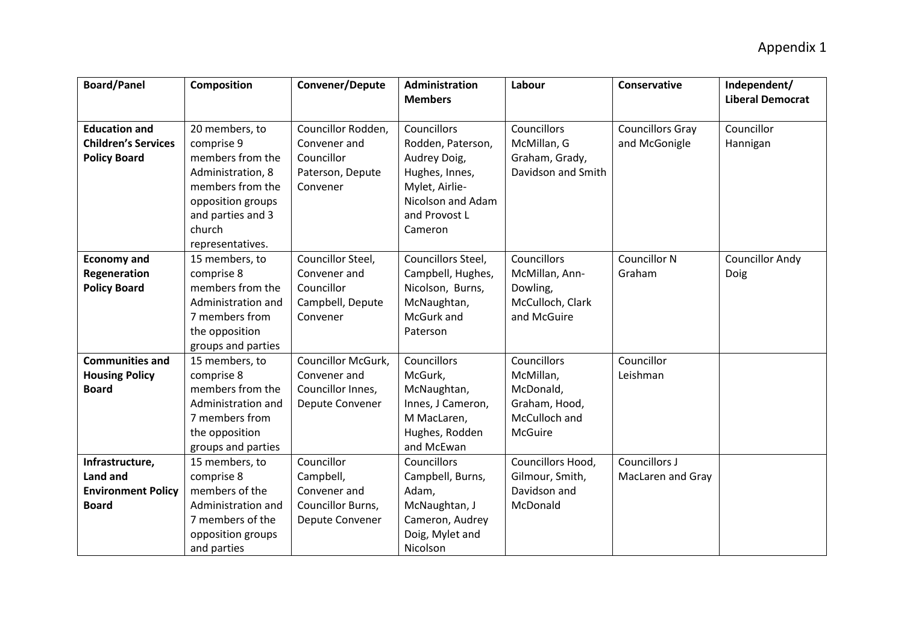| <b>Board/Panel</b>         | <b>Composition</b> | Convener/Depute    | Administration<br><b>Members</b> | Labour             | <b>Conservative</b>     | Independent/<br><b>Liberal Democrat</b> |
|----------------------------|--------------------|--------------------|----------------------------------|--------------------|-------------------------|-----------------------------------------|
|                            |                    |                    |                                  |                    |                         |                                         |
| <b>Education and</b>       | 20 members, to     | Councillor Rodden, | Councillors                      | <b>Councillors</b> | <b>Councillors Gray</b> | Councillor                              |
| <b>Children's Services</b> | comprise 9         | Convener and       | Rodden, Paterson,                | McMillan, G        | and McGonigle           | Hannigan                                |
| <b>Policy Board</b>        | members from the   | Councillor         | Audrey Doig,                     | Graham, Grady,     |                         |                                         |
|                            | Administration, 8  | Paterson, Depute   | Hughes, Innes,                   | Davidson and Smith |                         |                                         |
|                            | members from the   | Convener           | Mylet, Airlie-                   |                    |                         |                                         |
|                            | opposition groups  |                    | Nicolson and Adam                |                    |                         |                                         |
|                            | and parties and 3  |                    | and Provost L                    |                    |                         |                                         |
|                            | church             |                    | Cameron                          |                    |                         |                                         |
|                            | representatives.   |                    |                                  |                    |                         |                                         |
| <b>Economy and</b>         | 15 members, to     | Councillor Steel,  | Councillors Steel,               | <b>Councillors</b> | <b>Councillor N</b>     | <b>Councillor Andy</b>                  |
| Regeneration               | comprise 8         | Convener and       | Campbell, Hughes,                | McMillan, Ann-     | Graham                  | Doig                                    |
| <b>Policy Board</b>        | members from the   | Councillor         | Nicolson, Burns,                 | Dowling,           |                         |                                         |
|                            | Administration and | Campbell, Depute   | McNaughtan,                      | McCulloch, Clark   |                         |                                         |
|                            | 7 members from     | Convener           | McGurk and                       | and McGuire        |                         |                                         |
|                            | the opposition     |                    | Paterson                         |                    |                         |                                         |
|                            | groups and parties |                    |                                  |                    |                         |                                         |
| <b>Communities and</b>     | 15 members, to     | Councillor McGurk, | Councillors                      | Councillors        | Councillor              |                                         |
| <b>Housing Policy</b>      | comprise 8         | Convener and       | McGurk,                          | McMillan,          | Leishman                |                                         |
| <b>Board</b>               | members from the   | Councillor Innes,  | McNaughtan,                      | McDonald,          |                         |                                         |
|                            | Administration and | Depute Convener    | Innes, J Cameron,                | Graham, Hood,      |                         |                                         |
|                            | 7 members from     |                    | M MacLaren,                      | McCulloch and      |                         |                                         |
|                            | the opposition     |                    | Hughes, Rodden                   | McGuire            |                         |                                         |
|                            | groups and parties |                    | and McEwan                       |                    |                         |                                         |
| Infrastructure,            | 15 members, to     | Councillor         | Councillors                      | Councillors Hood,  | Councillors J           |                                         |
| Land and                   | comprise 8         | Campbell,          | Campbell, Burns,                 | Gilmour, Smith,    | MacLaren and Gray       |                                         |
| <b>Environment Policy</b>  | members of the     | Convener and       | Adam,                            | Davidson and       |                         |                                         |
| <b>Board</b>               | Administration and | Councillor Burns,  | McNaughtan, J                    | McDonald           |                         |                                         |
|                            | 7 members of the   | Depute Convener    | Cameron, Audrey                  |                    |                         |                                         |
|                            | opposition groups  |                    | Doig, Mylet and                  |                    |                         |                                         |
|                            | and parties        |                    | Nicolson                         |                    |                         |                                         |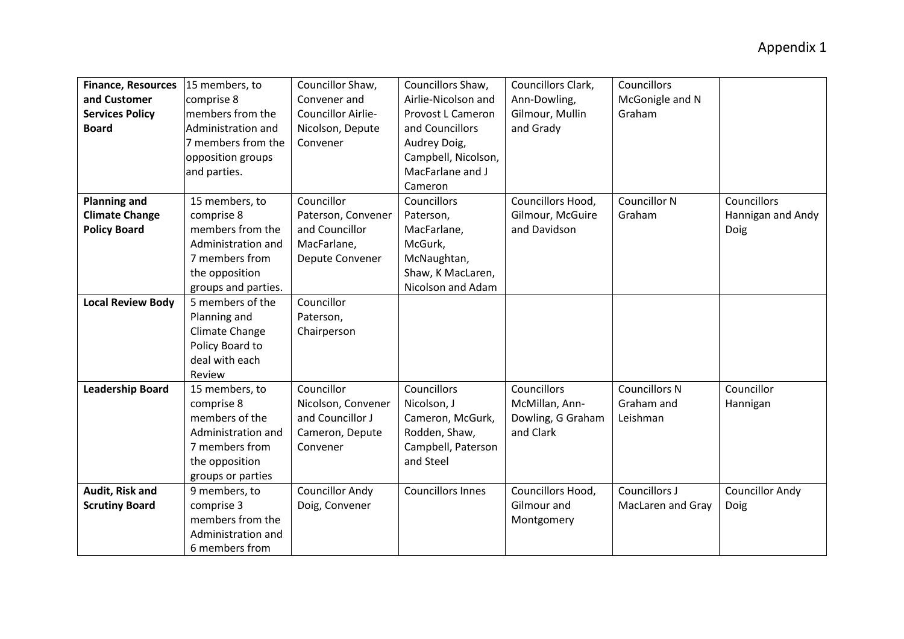| <b>Finance, Resources</b> | 15 members, to      | Councillor Shaw,       | Councillors Shaw,        | Councillors Clark, | Councillors          |                        |
|---------------------------|---------------------|------------------------|--------------------------|--------------------|----------------------|------------------------|
| and Customer              | comprise 8          | Convener and           | Airlie-Nicolson and      | Ann-Dowling,       | McGonigle and N      |                        |
| <b>Services Policy</b>    | members from the    | Councillor Airlie-     | Provost L Cameron        | Gilmour, Mullin    | Graham               |                        |
| <b>Board</b>              | Administration and  | Nicolson, Depute       | and Councillors          | and Grady          |                      |                        |
|                           | 7 members from the  | Convener               | Audrey Doig,             |                    |                      |                        |
|                           | opposition groups   |                        | Campbell, Nicolson,      |                    |                      |                        |
|                           | and parties.        |                        | MacFarlane and J         |                    |                      |                        |
|                           |                     |                        | Cameron                  |                    |                      |                        |
| <b>Planning and</b>       | 15 members, to      | Councillor             | Councillors              | Councillors Hood,  | <b>Councillor N</b>  | Councillors            |
| <b>Climate Change</b>     | comprise 8          | Paterson, Convener     | Paterson,                | Gilmour, McGuire   | Graham               | Hannigan and Andy      |
| <b>Policy Board</b>       | members from the    | and Councillor         | MacFarlane,              | and Davidson       |                      | Doig                   |
|                           | Administration and  | MacFarlane,            | McGurk,                  |                    |                      |                        |
|                           | 7 members from      | Depute Convener        | McNaughtan,              |                    |                      |                        |
|                           | the opposition      |                        | Shaw, K MacLaren,        |                    |                      |                        |
|                           | groups and parties. |                        | Nicolson and Adam        |                    |                      |                        |
| <b>Local Review Body</b>  | 5 members of the    | Councillor             |                          |                    |                      |                        |
|                           | Planning and        | Paterson,              |                          |                    |                      |                        |
|                           | Climate Change      | Chairperson            |                          |                    |                      |                        |
|                           | Policy Board to     |                        |                          |                    |                      |                        |
|                           | deal with each      |                        |                          |                    |                      |                        |
|                           | Review              |                        |                          |                    |                      |                        |
| <b>Leadership Board</b>   | 15 members, to      | Councillor             | Councillors              | Councillors        | <b>Councillors N</b> | Councillor             |
|                           | comprise 8          | Nicolson, Convener     | Nicolson, J              | McMillan, Ann-     | Graham and           | Hannigan               |
|                           | members of the      | and Councillor J       | Cameron, McGurk,         | Dowling, G Graham  | Leishman             |                        |
|                           | Administration and  | Cameron, Depute        | Rodden, Shaw,            | and Clark          |                      |                        |
|                           | 7 members from      | Convener               | Campbell, Paterson       |                    |                      |                        |
|                           | the opposition      |                        | and Steel                |                    |                      |                        |
|                           | groups or parties   |                        |                          |                    |                      |                        |
| Audit, Risk and           | 9 members, to       | <b>Councillor Andy</b> | <b>Councillors Innes</b> | Councillors Hood,  | Councillors J        | <b>Councillor Andy</b> |
| <b>Scrutiny Board</b>     | comprise 3          | Doig, Convener         |                          | Gilmour and        | MacLaren and Gray    | Doig                   |
|                           | members from the    |                        |                          | Montgomery         |                      |                        |
|                           | Administration and  |                        |                          |                    |                      |                        |
|                           | 6 members from      |                        |                          |                    |                      |                        |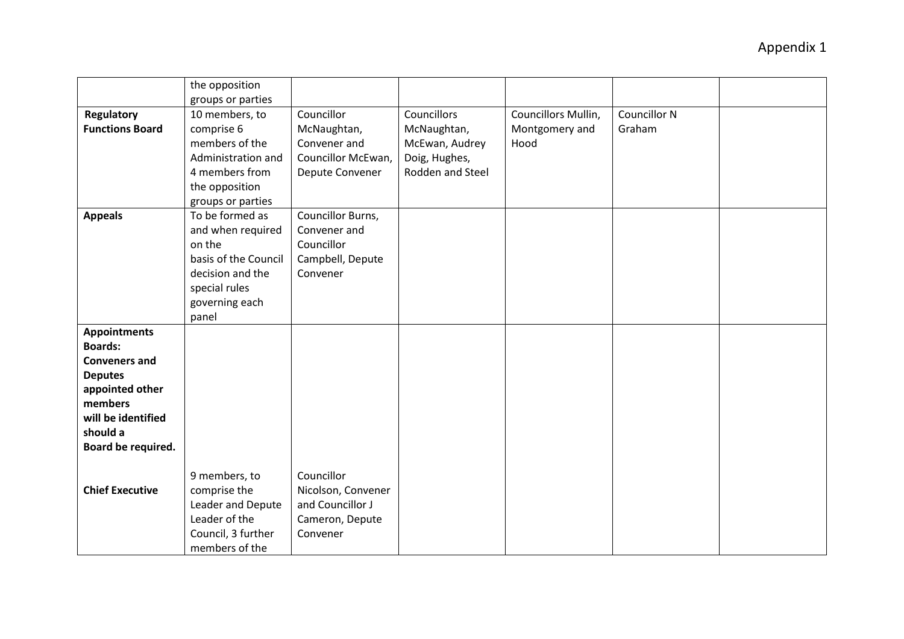|                        | the opposition       |                    |                  |                     |              |  |
|------------------------|----------------------|--------------------|------------------|---------------------|--------------|--|
|                        | groups or parties    |                    |                  |                     |              |  |
| <b>Regulatory</b>      | 10 members, to       | Councillor         | Councillors      | Councillors Mullin, | Councillor N |  |
| <b>Functions Board</b> | comprise 6           | McNaughtan,        | McNaughtan,      | Montgomery and      | Graham       |  |
|                        | members of the       | Convener and       | McEwan, Audrey   | Hood                |              |  |
|                        | Administration and   | Councillor McEwan, | Doig, Hughes,    |                     |              |  |
|                        | 4 members from       | Depute Convener    | Rodden and Steel |                     |              |  |
|                        | the opposition       |                    |                  |                     |              |  |
|                        | groups or parties    |                    |                  |                     |              |  |
| <b>Appeals</b>         | To be formed as      | Councillor Burns,  |                  |                     |              |  |
|                        | and when required    | Convener and       |                  |                     |              |  |
|                        | on the               | Councillor         |                  |                     |              |  |
|                        | basis of the Council | Campbell, Depute   |                  |                     |              |  |
|                        | decision and the     | Convener           |                  |                     |              |  |
|                        | special rules        |                    |                  |                     |              |  |
|                        | governing each       |                    |                  |                     |              |  |
|                        | panel                |                    |                  |                     |              |  |
| <b>Appointments</b>    |                      |                    |                  |                     |              |  |
| <b>Boards:</b>         |                      |                    |                  |                     |              |  |
| <b>Conveners and</b>   |                      |                    |                  |                     |              |  |
| <b>Deputes</b>         |                      |                    |                  |                     |              |  |
| appointed other        |                      |                    |                  |                     |              |  |
| members                |                      |                    |                  |                     |              |  |
| will be identified     |                      |                    |                  |                     |              |  |
| should a               |                      |                    |                  |                     |              |  |
| Board be required.     |                      |                    |                  |                     |              |  |
|                        |                      |                    |                  |                     |              |  |
|                        | 9 members, to        | Councillor         |                  |                     |              |  |
| <b>Chief Executive</b> | comprise the         | Nicolson, Convener |                  |                     |              |  |
|                        | Leader and Depute    | and Councillor J   |                  |                     |              |  |
|                        | Leader of the        | Cameron, Depute    |                  |                     |              |  |
|                        | Council, 3 further   | Convener           |                  |                     |              |  |
|                        | members of the       |                    |                  |                     |              |  |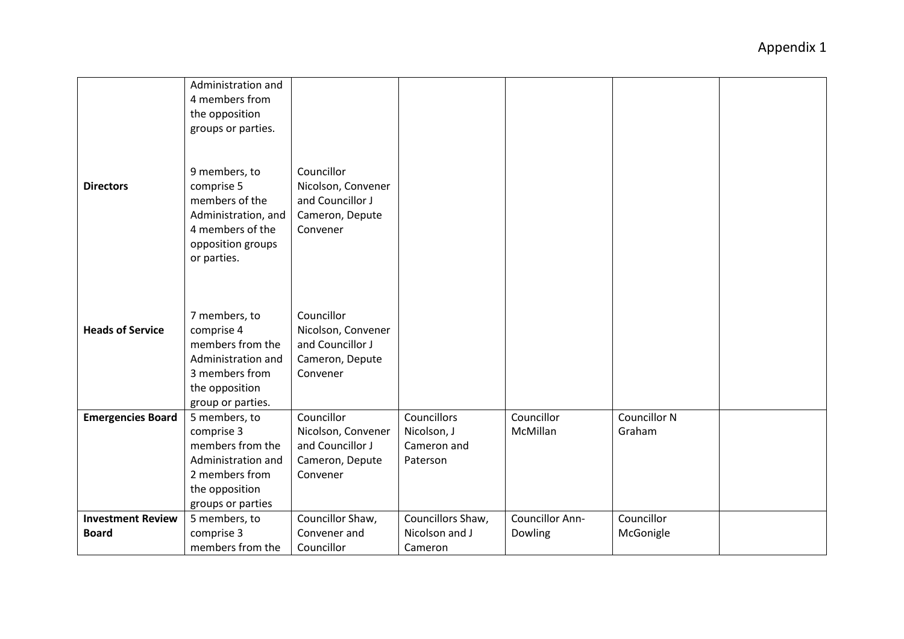| <b>Directors</b>                         | Administration and<br>4 members from<br>the opposition<br>groups or parties.<br>9 members, to<br>comprise 5<br>members of the<br>Administration, and<br>4 members of the<br>opposition groups<br>or parties. | Councillor<br>Nicolson, Convener<br>and Councillor J<br>Cameron, Depute<br>Convener |                                                       |                                   |                               |  |
|------------------------------------------|--------------------------------------------------------------------------------------------------------------------------------------------------------------------------------------------------------------|-------------------------------------------------------------------------------------|-------------------------------------------------------|-----------------------------------|-------------------------------|--|
| <b>Heads of Service</b>                  | 7 members, to<br>comprise 4<br>members from the<br>Administration and<br>3 members from<br>the opposition<br>group or parties.                                                                               | Councillor<br>Nicolson, Convener<br>and Councillor J<br>Cameron, Depute<br>Convener |                                                       |                                   |                               |  |
| <b>Emergencies Board</b>                 | 5 members, to<br>comprise 3<br>members from the<br>Administration and<br>2 members from<br>the opposition<br>groups or parties                                                                               | Councillor<br>Nicolson, Convener<br>and Councillor J<br>Cameron, Depute<br>Convener | Councillors<br>Nicolson, J<br>Cameron and<br>Paterson | Councillor<br>McMillan            | <b>Councillor N</b><br>Graham |  |
| <b>Investment Review</b><br><b>Board</b> | 5 members, to<br>comprise 3<br>members from the                                                                                                                                                              | Councillor Shaw,<br>Convener and<br>Councillor                                      | Councillors Shaw,<br>Nicolson and J<br>Cameron        | <b>Councillor Ann-</b><br>Dowling | Councillor<br>McGonigle       |  |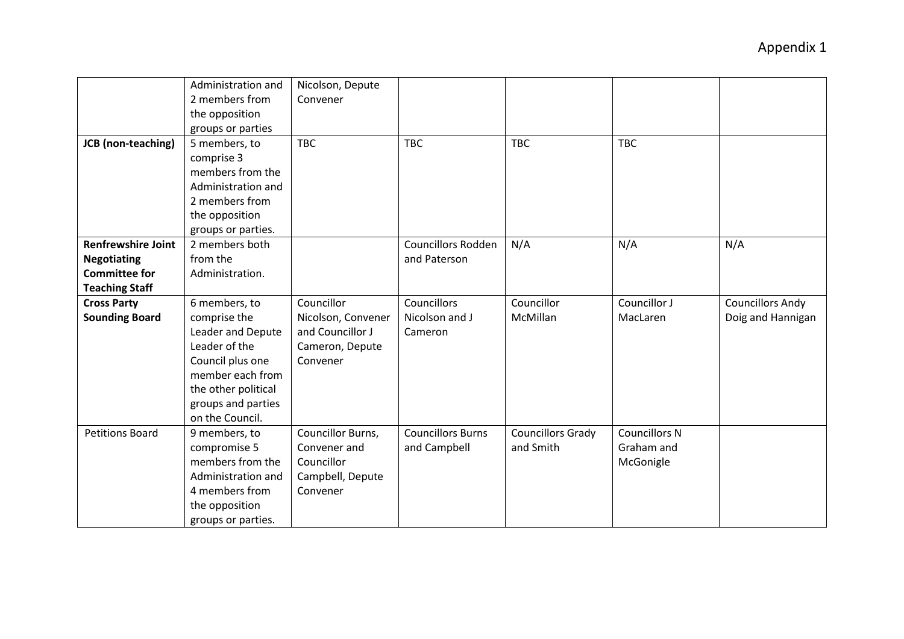| JCB (non-teaching)                          | Administration and<br>2 members from<br>the opposition<br>groups or parties<br>5 members, to<br>comprise 3                                                                  | Nicolson, Depute<br>Convener<br><b>TBC</b>                                          | <b>TBC</b>                               | <b>TBC</b>                            | <b>TBC</b>                                      |                                              |
|---------------------------------------------|-----------------------------------------------------------------------------------------------------------------------------------------------------------------------------|-------------------------------------------------------------------------------------|------------------------------------------|---------------------------------------|-------------------------------------------------|----------------------------------------------|
|                                             | members from the<br>Administration and<br>2 members from<br>the opposition<br>groups or parties.                                                                            |                                                                                     |                                          |                                       |                                                 |                                              |
| <b>Renfrewshire Joint</b>                   | 2 members both                                                                                                                                                              |                                                                                     | <b>Councillors Rodden</b>                | N/A                                   | N/A                                             | N/A                                          |
| <b>Negotiating</b><br><b>Committee for</b>  | from the<br>Administration.                                                                                                                                                 |                                                                                     | and Paterson                             |                                       |                                                 |                                              |
| <b>Teaching Staff</b>                       |                                                                                                                                                                             |                                                                                     |                                          |                                       |                                                 |                                              |
| <b>Cross Party</b><br><b>Sounding Board</b> | 6 members, to<br>comprise the<br>Leader and Depute<br>Leader of the<br>Council plus one<br>member each from<br>the other political<br>groups and parties<br>on the Council. | Councillor<br>Nicolson, Convener<br>and Councillor J<br>Cameron, Depute<br>Convener | Councillors<br>Nicolson and J<br>Cameron | Councillor<br>McMillan                | Councillor J<br>MacLaren                        | <b>Councillors Andy</b><br>Doig and Hannigan |
| <b>Petitions Board</b>                      | 9 members, to<br>compromise 5<br>members from the<br>Administration and<br>4 members from<br>the opposition<br>groups or parties.                                           | Councillor Burns,<br>Convener and<br>Councillor<br>Campbell, Depute<br>Convener     | <b>Councillors Burns</b><br>and Campbell | <b>Councillors Grady</b><br>and Smith | <b>Councillors N</b><br>Graham and<br>McGonigle |                                              |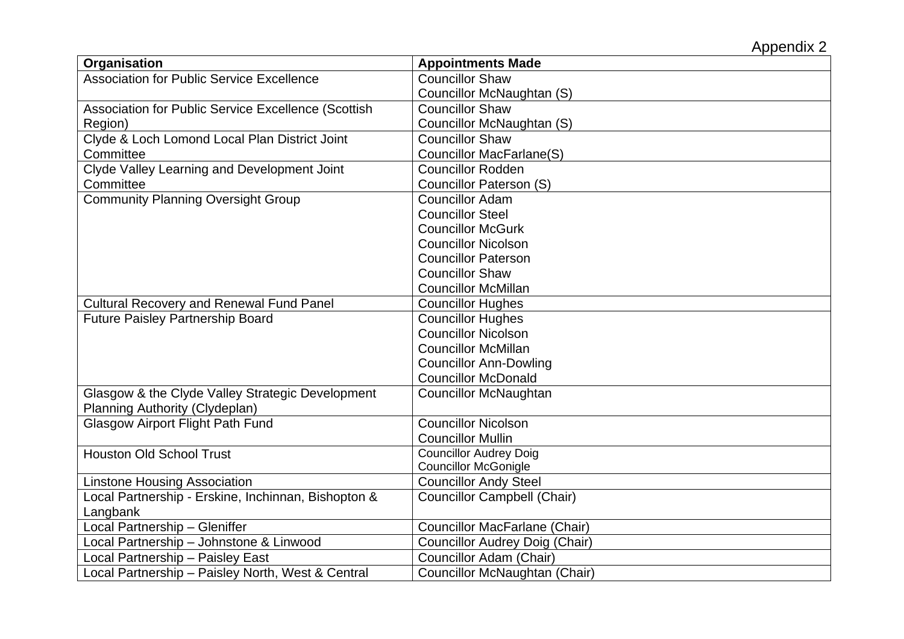| Organisation                                        | <b>Appointments Made</b>              |
|-----------------------------------------------------|---------------------------------------|
| <b>Association for Public Service Excellence</b>    | <b>Councillor Shaw</b>                |
|                                                     | Councillor McNaughtan (S)             |
| Association for Public Service Excellence (Scottish | <b>Councillor Shaw</b>                |
| Region)                                             | Councillor McNaughtan (S)             |
| Clyde & Loch Lomond Local Plan District Joint       | <b>Councillor Shaw</b>                |
| Committee                                           | <b>Councillor MacFarlane(S)</b>       |
| Clyde Valley Learning and Development Joint         | <b>Councillor Rodden</b>              |
| Committee                                           | <b>Councillor Paterson (S)</b>        |
| <b>Community Planning Oversight Group</b>           | <b>Councillor Adam</b>                |
|                                                     | <b>Councillor Steel</b>               |
|                                                     | <b>Councillor McGurk</b>              |
|                                                     | <b>Councillor Nicolson</b>            |
|                                                     | <b>Councillor Paterson</b>            |
|                                                     | <b>Councillor Shaw</b>                |
|                                                     | <b>Councillor McMillan</b>            |
| <b>Cultural Recovery and Renewal Fund Panel</b>     | <b>Councillor Hughes</b>              |
| <b>Future Paisley Partnership Board</b>             | <b>Councillor Hughes</b>              |
|                                                     | <b>Councillor Nicolson</b>            |
|                                                     | <b>Councillor McMillan</b>            |
|                                                     | <b>Councillor Ann-Dowling</b>         |
|                                                     | <b>Councillor McDonald</b>            |
| Glasgow & the Clyde Valley Strategic Development    | <b>Councillor McNaughtan</b>          |
| Planning Authority (Clydeplan)                      |                                       |
| <b>Glasgow Airport Flight Path Fund</b>             | <b>Councillor Nicolson</b>            |
|                                                     | <b>Councillor Mullin</b>              |
| <b>Houston Old School Trust</b>                     | <b>Councillor Audrey Doig</b>         |
|                                                     | <b>Councillor McGonigle</b>           |
| <b>Linstone Housing Association</b>                 | <b>Councillor Andy Steel</b>          |
| Local Partnership - Erskine, Inchinnan, Bishopton & | <b>Councillor Campbell (Chair)</b>    |
| Langbank                                            |                                       |
| Local Partnership - Gleniffer                       | <b>Councillor MacFarlane (Chair)</b>  |
| Local Partnership - Johnstone & Linwood             | <b>Councillor Audrey Doig (Chair)</b> |
| Local Partnership - Paisley East                    | Councillor Adam (Chair)               |
| Local Partnership - Paisley North, West & Central   | Councillor McNaughtan (Chair)         |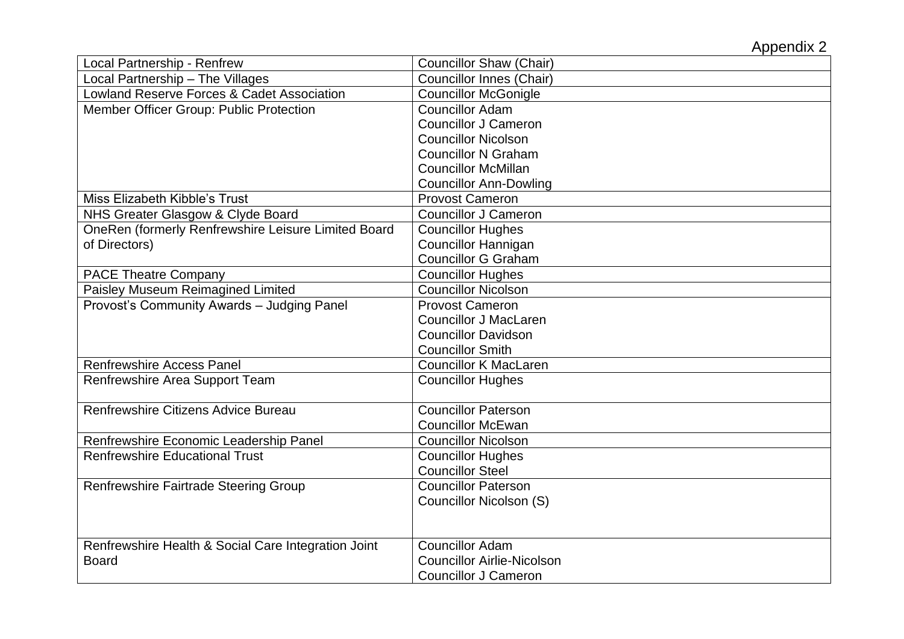| <b>Local Partnership - Renfrew</b>                    | <b>Councillor Shaw (Chair)</b>    |
|-------------------------------------------------------|-----------------------------------|
| Local Partnership - The Villages                      | <b>Councillor Innes (Chair)</b>   |
| <b>Lowland Reserve Forces &amp; Cadet Association</b> | <b>Councillor McGonigle</b>       |
| Member Officer Group: Public Protection               | <b>Councillor Adam</b>            |
|                                                       | <b>Councillor J Cameron</b>       |
|                                                       | <b>Councillor Nicolson</b>        |
|                                                       | <b>Councillor N Graham</b>        |
|                                                       | <b>Councillor McMillan</b>        |
|                                                       | <b>Councillor Ann-Dowling</b>     |
| Miss Elizabeth Kibble's Trust                         | <b>Provost Cameron</b>            |
| NHS Greater Glasgow & Clyde Board                     | <b>Councillor J Cameron</b>       |
| OneRen (formerly Renfrewshire Leisure Limited Board   | <b>Councillor Hughes</b>          |
| of Directors)                                         | <b>Councillor Hannigan</b>        |
|                                                       | <b>Councillor G Graham</b>        |
| <b>PACE Theatre Company</b>                           | <b>Councillor Hughes</b>          |
| Paisley Museum Reimagined Limited                     | <b>Councillor Nicolson</b>        |
| Provost's Community Awards - Judging Panel            | <b>Provost Cameron</b>            |
|                                                       | <b>Councillor J MacLaren</b>      |
|                                                       | <b>Councillor Davidson</b>        |
|                                                       | <b>Councillor Smith</b>           |
| <b>Renfrewshire Access Panel</b>                      | <b>Councillor K MacLaren</b>      |
| Renfrewshire Area Support Team                        | <b>Councillor Hughes</b>          |
|                                                       |                                   |
| Renfrewshire Citizens Advice Bureau                   | <b>Councillor Paterson</b>        |
|                                                       | <b>Councillor McEwan</b>          |
| Renfrewshire Economic Leadership Panel                | <b>Councillor Nicolson</b>        |
| <b>Renfrewshire Educational Trust</b>                 | <b>Councillor Hughes</b>          |
|                                                       | <b>Councillor Steel</b>           |
| Renfrewshire Fairtrade Steering Group                 | <b>Councillor Paterson</b>        |
|                                                       | Councillor Nicolson (S)           |
|                                                       |                                   |
|                                                       |                                   |
| Renfrewshire Health & Social Care Integration Joint   | <b>Councillor Adam</b>            |
| <b>Board</b>                                          | <b>Councillor Airlie-Nicolson</b> |
|                                                       | <b>Councillor J Cameron</b>       |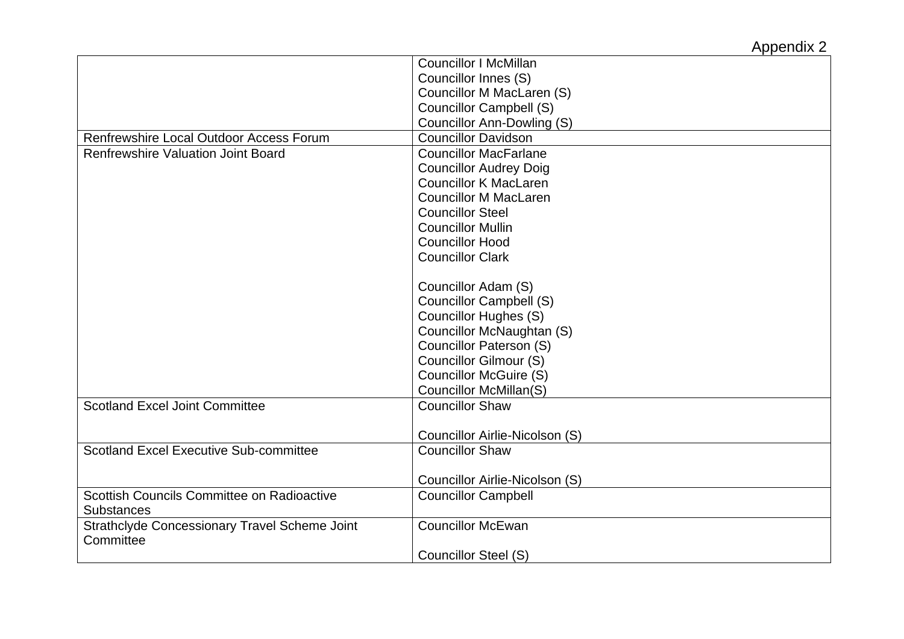|                                                      | <b>Councillor I McMillan</b>      |
|------------------------------------------------------|-----------------------------------|
|                                                      | Councillor Innes (S)              |
|                                                      | Councillor M MacLaren (S)         |
|                                                      | <b>Councillor Campbell (S)</b>    |
|                                                      | <b>Councillor Ann-Dowling (S)</b> |
| Renfrewshire Local Outdoor Access Forum              | <b>Councillor Davidson</b>        |
| <b>Renfrewshire Valuation Joint Board</b>            | <b>Councillor MacFarlane</b>      |
|                                                      | <b>Councillor Audrey Doig</b>     |
|                                                      | <b>Councillor K MacLaren</b>      |
|                                                      | <b>Councillor M MacLaren</b>      |
|                                                      | <b>Councillor Steel</b>           |
|                                                      | <b>Councillor Mullin</b>          |
|                                                      | <b>Councillor Hood</b>            |
|                                                      | <b>Councillor Clark</b>           |
|                                                      |                                   |
|                                                      | Councillor Adam (S)               |
|                                                      | <b>Councillor Campbell (S)</b>    |
|                                                      | <b>Councillor Hughes (S)</b>      |
|                                                      | Councillor McNaughtan (S)         |
|                                                      | Councillor Paterson (S)           |
|                                                      | Councillor Gilmour (S)            |
|                                                      | <b>Councillor McGuire (S)</b>     |
|                                                      | Councillor McMillan(S)            |
| <b>Scotland Excel Joint Committee</b>                | <b>Councillor Shaw</b>            |
|                                                      |                                   |
|                                                      | Councillor Airlie-Nicolson (S)    |
| <b>Scotland Excel Executive Sub-committee</b>        | <b>Councillor Shaw</b>            |
|                                                      |                                   |
|                                                      | Councillor Airlie-Nicolson (S)    |
| Scottish Councils Committee on Radioactive           | <b>Councillor Campbell</b>        |
| <b>Substances</b>                                    |                                   |
| <b>Strathclyde Concessionary Travel Scheme Joint</b> | <b>Councillor McEwan</b>          |
| Committee                                            |                                   |
|                                                      | <b>Councillor Steel (S)</b>       |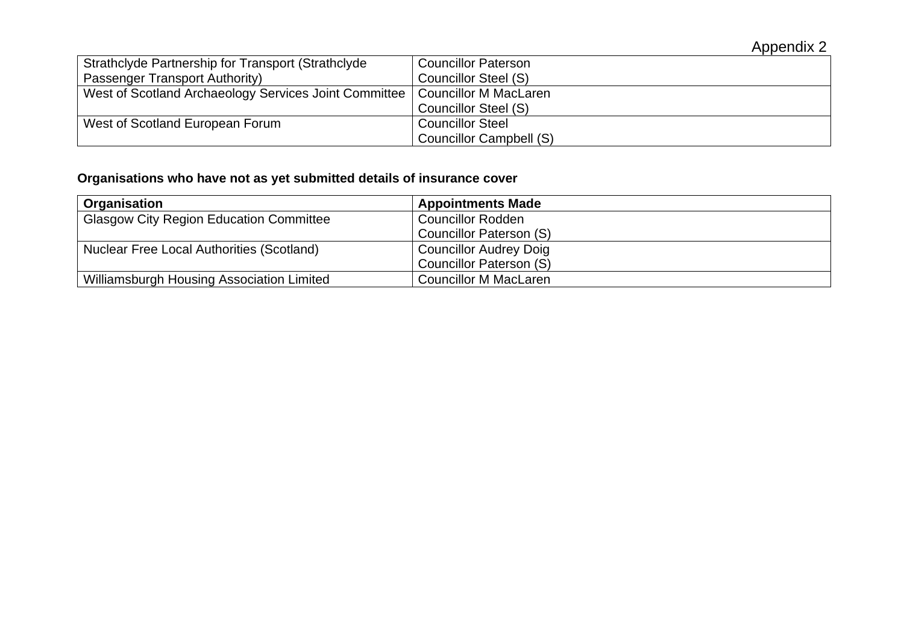| Strathclyde Partnership for Transport (Strathclyde    | <b>Councillor Paterson</b> |
|-------------------------------------------------------|----------------------------|
| Passenger Transport Authority)                        | Councillor Steel (S)       |
| West of Scotland Archaeology Services Joint Committee | Councillor M MacLaren      |
|                                                       | Councillor Steel (S)       |
| West of Scotland European Forum                       | <b>Councillor Steel</b>    |
|                                                       | Councillor Campbell (S)    |

# **Organisations who have not as yet submitted details of insurance cover**

| Organisation                                     | <b>Appointments Made</b>      |
|--------------------------------------------------|-------------------------------|
| <b>Glasgow City Region Education Committee</b>   | <b>Councillor Rodden</b>      |
|                                                  | Councillor Paterson (S)       |
| <b>Nuclear Free Local Authorities (Scotland)</b> | <b>Councillor Audrey Doig</b> |
|                                                  | Councillor Paterson (S)       |
| Williamsburgh Housing Association Limited        | <b>Councillor M MacLaren</b>  |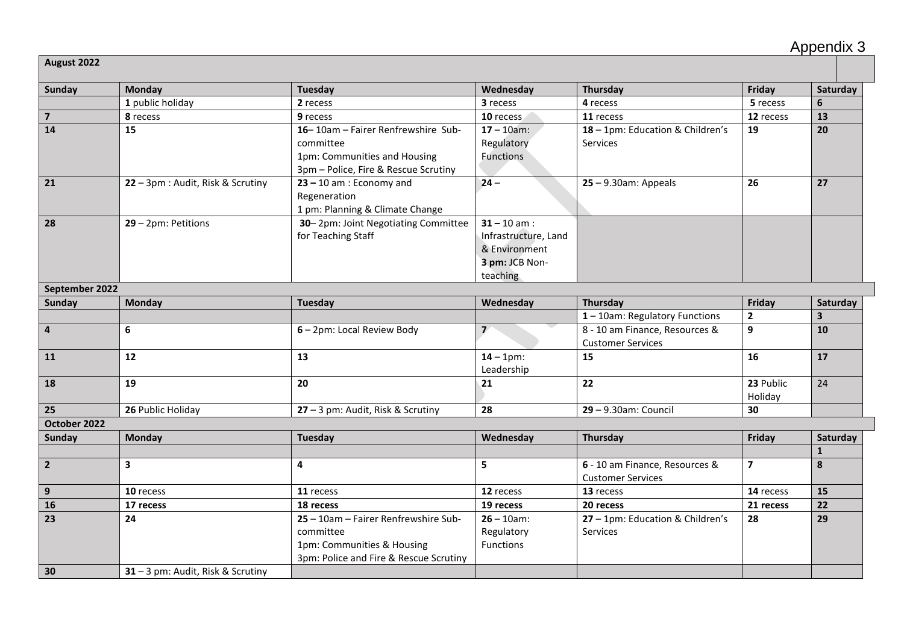|  | Appendix 3 |  |  |
|--|------------|--|--|
|--|------------|--|--|

**August 2022**

| <b>Sunday</b>           | <b>Monday</b>                     | Tuesday                                                                                                                   | Wednesday                                                                             | Thursday                                                   | Friday                  | Saturday                |
|-------------------------|-----------------------------------|---------------------------------------------------------------------------------------------------------------------------|---------------------------------------------------------------------------------------|------------------------------------------------------------|-------------------------|-------------------------|
|                         | 1 public holiday                  | 2 recess                                                                                                                  | 3 recess                                                                              | 4 recess                                                   | 5 recess                | 6                       |
| $\overline{\mathbf{z}}$ | 8 recess                          | 9 recess                                                                                                                  | 10 recess                                                                             | 11 recess                                                  | 12 recess               | 13                      |
| 14                      | 15                                | 16-10am - Fairer Renfrewshire Sub-<br>committee<br>1pm: Communities and Housing<br>3pm - Police, Fire & Rescue Scrutiny   | $17 - 10$ am:<br>Regulatory<br><b>Functions</b>                                       | 18 - 1pm: Education & Children's<br>Services               | 19                      | 20                      |
| 21                      | 22 - 3pm : Audit, Risk & Scrutiny | $23 - 10$ am : Economy and<br>Regeneration<br>1 pm: Planning & Climate Change                                             | $24 -$                                                                                | $25 - 9.30$ am: Appeals                                    | 26                      | 27                      |
| 28                      | $29 - 2pm$ : Petitions            | 30-2pm: Joint Negotiating Committee<br>for Teaching Staff                                                                 | $31 - 10$ am :<br>Infrastructure, Land<br>& Environment<br>3 pm: JCB Non-<br>teaching |                                                            |                         |                         |
| September 2022          |                                   |                                                                                                                           |                                                                                       |                                                            |                         |                         |
| Sunday                  | Monday                            | Tuesday                                                                                                                   | Wednesday                                                                             | Thursday                                                   | Friday                  | Saturday                |
|                         |                                   |                                                                                                                           |                                                                                       | $1 - 10$ am: Regulatory Functions                          | $\mathbf{2}$            | $\overline{\mathbf{3}}$ |
| $\overline{\mathbf{4}}$ | 6                                 | 6 - 2pm: Local Review Body                                                                                                | $\overline{\phantom{a}}$                                                              | 8 - 10 am Finance, Resources &<br><b>Customer Services</b> | 9                       | 10                      |
| 11                      | 12                                | 13                                                                                                                        | $14 - 1pm$ :<br>Leadership                                                            | 15                                                         | 16                      | 17                      |
| 18                      | 19                                | 20                                                                                                                        | 21                                                                                    | 22                                                         | 23 Public<br>Holiday    | 24                      |
| 25                      | 26 Public Holiday                 | 27 - 3 pm: Audit, Risk & Scrutiny                                                                                         | 28                                                                                    | 29 - 9.30am: Council                                       | 30                      |                         |
| October 2022            |                                   |                                                                                                                           |                                                                                       |                                                            |                         |                         |
| Sunday                  | Monday                            | <b>Tuesday</b>                                                                                                            | Wednesday                                                                             | <b>Thursday</b>                                            | Friday                  | Saturday                |
|                         |                                   |                                                                                                                           |                                                                                       |                                                            |                         | $\mathbf{1}$            |
| $\overline{2}$          | $\mathbf{3}$                      | 4                                                                                                                         | 5                                                                                     | 6 - 10 am Finance, Resources &<br><b>Customer Services</b> | $\overline{\mathbf{z}}$ | 8                       |
| 9                       | 10 recess                         | 11 recess                                                                                                                 | 12 recess                                                                             | 13 recess                                                  | 14 recess               | 15                      |
| 16                      | 17 recess                         | 18 recess                                                                                                                 | 19 recess                                                                             | 20 recess                                                  | 21 recess               | 22                      |
| 23                      | 24                                | 25 - 10am - Fairer Renfrewshire Sub-<br>committee<br>1pm: Communities & Housing<br>3pm: Police and Fire & Rescue Scrutiny | $26 - 10$ am:<br>Regulatory<br>Functions                                              | 27 - 1pm: Education & Children's<br>Services               | 28                      | 29                      |
| 30                      | 31 - 3 pm: Audit, Risk & Scrutiny |                                                                                                                           |                                                                                       |                                                            |                         |                         |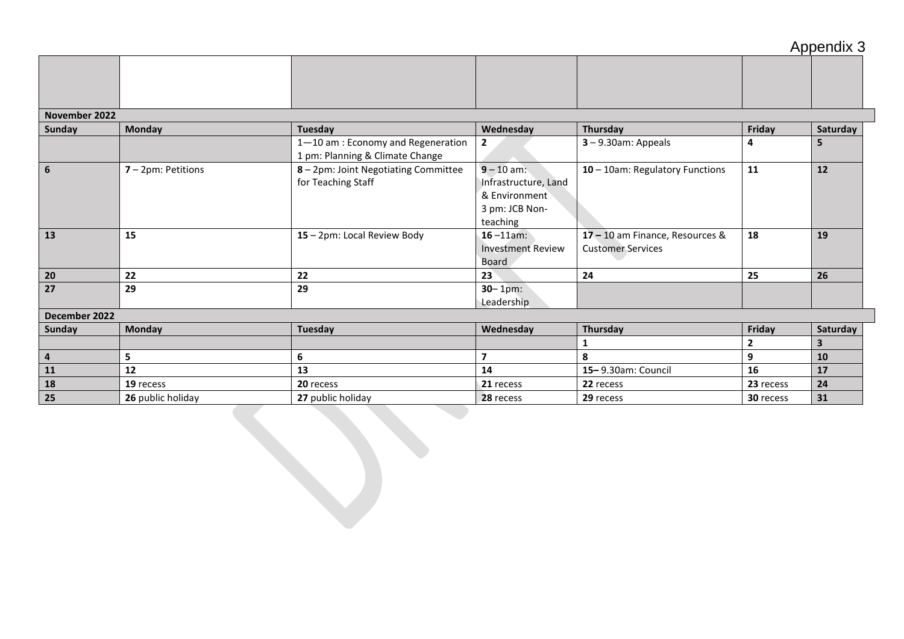## Appendix 3

#### **November 2022**

| <b>Sunday</b>  | Monday                | Tuesday                                                               | Wednesday                                                                           | Thursday                                                    | Friday    | Saturday |
|----------------|-----------------------|-----------------------------------------------------------------------|-------------------------------------------------------------------------------------|-------------------------------------------------------------|-----------|----------|
|                |                       | 1-10 am : Economy and Regeneration<br>1 pm: Planning & Climate Change | $\mathbf{2}$                                                                        | $3 - 9.30$ am: Appeals                                      | 4         | 5        |
| 6              | $7 - 2pm$ : Petitions | 8 - 2pm: Joint Negotiating Committee<br>for Teaching Staff            | $9 - 10$ am:<br>Infrastructure, Land<br>& Environment<br>3 pm: JCB Non-<br>teaching | 10 - 10am: Regulatory Functions                             | 11        | 12       |
| 13             | 15                    | 15 - 2pm: Local Review Body                                           | $16 - 11$ am:<br><b>Investment Review</b><br>Board                                  | 17 - 10 am Finance, Resources &<br><b>Customer Services</b> | 18        | 19       |
| 20             | 22                    | 22                                                                    | 23                                                                                  | 24                                                          | 25        | 26       |
| 27             | 29                    | 29                                                                    | $30 - 1pm$ :<br>Leadership                                                          |                                                             |           |          |
| December 2022  |                       |                                                                       |                                                                                     |                                                             |           |          |
| Sunday         | <b>Monday</b>         | Tuesday                                                               | Wednesday                                                                           | Thursday                                                    | Friday    | Saturday |
|                |                       |                                                                       |                                                                                     |                                                             | 2         |          |
| $\overline{4}$ | 5                     | 6                                                                     | $\overline{\mathbf{z}}$                                                             | 8                                                           | 9         | 10       |
| 11             | 12                    | 13                                                                    | 14                                                                                  | 15-9.30am: Council                                          | 16        | 17       |
| 18             | 19 recess             | 20 recess                                                             | 21 recess                                                                           | 22 recess                                                   | 23 recess | 24       |
| 25             | 26 public holiday     | 27 public holiday                                                     | 28 recess                                                                           | 29 recess                                                   | 30 recess | 31       |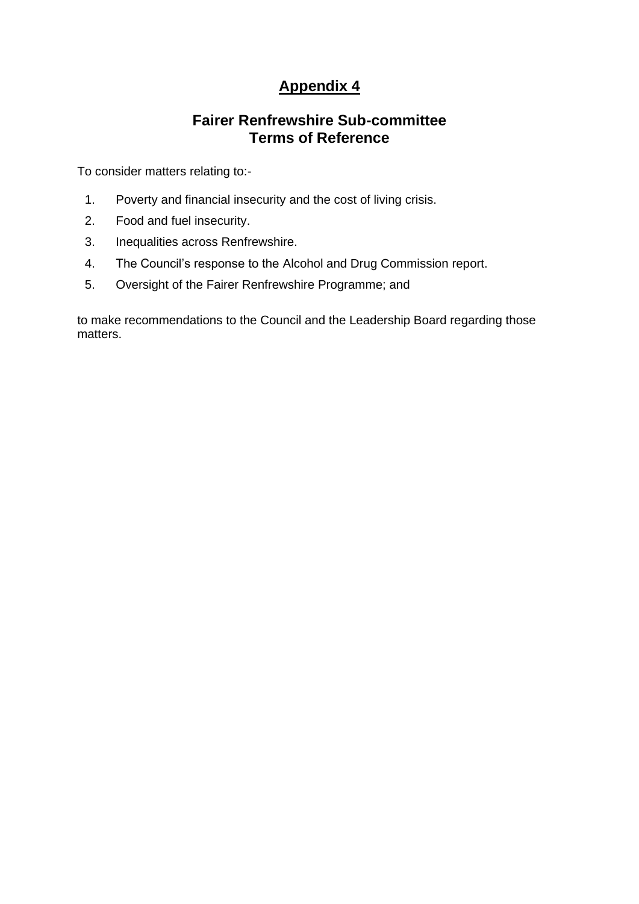# **Appendix 4**

# **Fairer Renfrewshire Sub-committee Terms of Reference**

To consider matters relating to:-

- 1. Poverty and financial insecurity and the cost of living crisis.
- 2. Food and fuel insecurity.
- 3. Inequalities across Renfrewshire.
- 4. The Council's response to the Alcohol and Drug Commission report.
- 5. Oversight of the Fairer Renfrewshire Programme; and

to make recommendations to the Council and the Leadership Board regarding those matters.